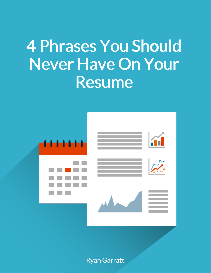# 4 Phrases You Should Never Have On Your Resume



Ryan Garratt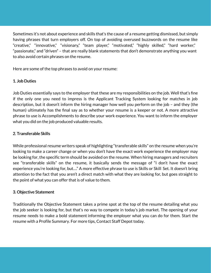Sometimes it's not about experience and skills that's the cause of a resume getting dismissed, but simply having phrases that turn employers off. On top of avoiding overused buzzwords on the resume like "creative," "innovative," "visionary," "team player," "motivated," "highly skilled," "hard worker," "passionate," and "driven" – that are really blank statements that don't demonstrate anything you want to also avoid certain phrases on the resume.

Here are some of the top phrases to avoid on your resume:

## 1. Job Duties

Job Duties essentially says to the employer that these are my responsibilities on the job. Well that's fine if the only one you need to impress is the Applicant Tracking System looking for matches in job description, but it doesn't inform the hiring manager how well you perform on the job – and they (the human) ultimately has the final say as to whether your resume is a keeper or not. A more attractive phrase to use is Accomplishments to describe your work experience. You want to inform the employer what you did on the job produced valuable results.

# 2. Transferable Skills

While professional resume writers speak of highlighting "transferable skills" on the resume when you're looking to make a career change or when you don't have the exact work experience the employer may be looking for, the specific term should be avoided on the resume. When hiring managers and recruiters see "transferable skills" on the resume, it basically sends the message of "I don't have the exact experience you're looking for, but…." A more effective phrase to use is Skills or Skill Set. It doesn't bring attention to the fact that you aren't a direct match with what they are looking for, but goes straight to the point of what you can offer that is of value to them.

## 3. Objective Statement

Traditionally the Objective Statement takes a prime spot at the top of the resume detailing what you the job seeker is looking for, but that's no way to compete in today's job market. The opening of your resume needs to make a bold statement informing the employer what you can do for them. Start the resume with a Profile Summary. For more tips, Contact Staff Depot today.